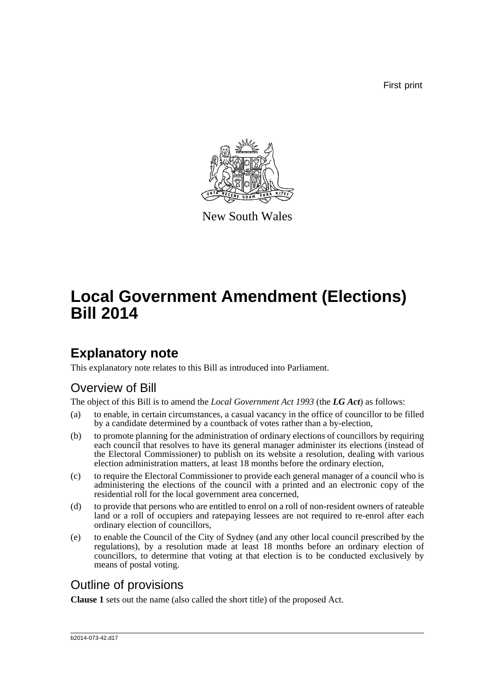First print



New South Wales

# **Local Government Amendment (Elections) Bill 2014**

# **Explanatory note**

This explanatory note relates to this Bill as introduced into Parliament.

## Overview of Bill

The object of this Bill is to amend the *Local Government Act 1993* (the *LG Act*) as follows:

- (a) to enable, in certain circumstances, a casual vacancy in the office of councillor to be filled by a candidate determined by a countback of votes rather than a by-election,
- (b) to promote planning for the administration of ordinary elections of councillors by requiring each council that resolves to have its general manager administer its elections (instead of the Electoral Commissioner) to publish on its website a resolution, dealing with various election administration matters, at least 18 months before the ordinary election,
- (c) to require the Electoral Commissioner to provide each general manager of a council who is administering the elections of the council with a printed and an electronic copy of the residential roll for the local government area concerned,
- (d) to provide that persons who are entitled to enrol on a roll of non-resident owners of rateable land or a roll of occupiers and ratepaying lessees are not required to re-enrol after each ordinary election of councillors,
- (e) to enable the Council of the City of Sydney (and any other local council prescribed by the regulations), by a resolution made at least 18 months before an ordinary election of councillors, to determine that voting at that election is to be conducted exclusively by means of postal voting.

## Outline of provisions

**Clause 1** sets out the name (also called the short title) of the proposed Act.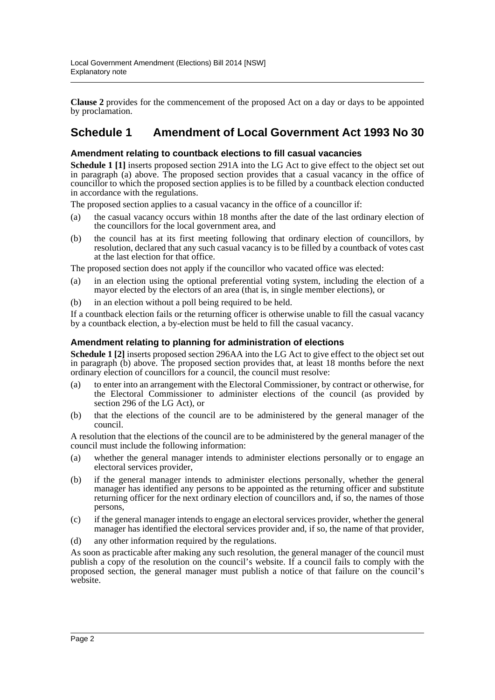**Clause 2** provides for the commencement of the proposed Act on a day or days to be appointed by proclamation.

## **Schedule 1 Amendment of Local Government Act 1993 No 30**

### **Amendment relating to countback elections to fill casual vacancies**

**Schedule 1 [1]** inserts proposed section 291A into the LG Act to give effect to the object set out in paragraph (a) above. The proposed section provides that a casual vacancy in the office of councillor to which the proposed section applies is to be filled by a countback election conducted in accordance with the regulations.

The proposed section applies to a casual vacancy in the office of a councillor if:

- (a) the casual vacancy occurs within 18 months after the date of the last ordinary election of the councillors for the local government area, and
- (b) the council has at its first meeting following that ordinary election of councillors, by resolution, declared that any such casual vacancy is to be filled by a countback of votes cast at the last election for that office.

The proposed section does not apply if the councillor who vacated office was elected:

- (a) in an election using the optional preferential voting system, including the election of a mayor elected by the electors of an area (that is, in single member elections), or
- (b) in an election without a poll being required to be held.

If a countback election fails or the returning officer is otherwise unable to fill the casual vacancy by a countback election, a by-election must be held to fill the casual vacancy.

### **Amendment relating to planning for administration of elections**

**Schedule 1 [2]** inserts proposed section 296AA into the LG Act to give effect to the object set out in paragraph (b) above. The proposed section provides that, at least 18 months before the next ordinary election of councillors for a council, the council must resolve:

- (a) to enter into an arrangement with the Electoral Commissioner, by contract or otherwise, for the Electoral Commissioner to administer elections of the council (as provided by section 296 of the LG Act), or
- (b) that the elections of the council are to be administered by the general manager of the council.

A resolution that the elections of the council are to be administered by the general manager of the council must include the following information:

- (a) whether the general manager intends to administer elections personally or to engage an electoral services provider,
- (b) if the general manager intends to administer elections personally, whether the general manager has identified any persons to be appointed as the returning officer and substitute returning officer for the next ordinary election of councillors and, if so, the names of those persons,
- (c) if the general manager intends to engage an electoral services provider, whether the general manager has identified the electoral services provider and, if so, the name of that provider,
- (d) any other information required by the regulations.

As soon as practicable after making any such resolution, the general manager of the council must publish a copy of the resolution on the council's website. If a council fails to comply with the proposed section, the general manager must publish a notice of that failure on the council's website.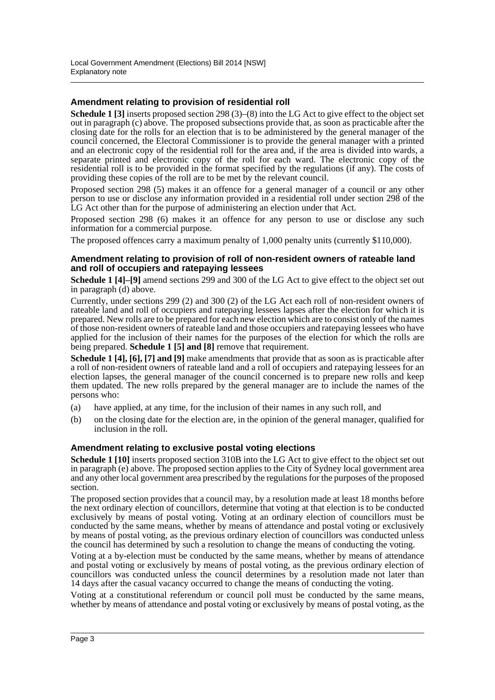### **Amendment relating to provision of residential roll**

**Schedule 1 [3]** inserts proposed section 298 (3)–(8) into the LG Act to give effect to the object set out in paragraph (c) above. The proposed subsections provide that, as soon as practicable after the closing date for the rolls for an election that is to be administered by the general manager of the council concerned, the Electoral Commissioner is to provide the general manager with a printed and an electronic copy of the residential roll for the area and, if the area is divided into wards, a separate printed and electronic copy of the roll for each ward. The electronic copy of the residential roll is to be provided in the format specified by the regulations (if any). The costs of providing these copies of the roll are to be met by the relevant council.

Proposed section 298 (5) makes it an offence for a general manager of a council or any other person to use or disclose any information provided in a residential roll under section 298 of the LG Act other than for the purpose of administering an election under that Act.

Proposed section 298 (6) makes it an offence for any person to use or disclose any such information for a commercial purpose.

The proposed offences carry a maximum penalty of 1,000 penalty units (currently \$110,000).

#### **Amendment relating to provision of roll of non-resident owners of rateable land and roll of occupiers and ratepaying lessees**

**Schedule 1 [4]–[9]** amend sections 299 and 300 of the LG Act to give effect to the object set out in paragraph (d) above.

Currently, under sections 299 (2) and 300 (2) of the LG Act each roll of non-resident owners of rateable land and roll of occupiers and ratepaying lessees lapses after the election for which it is prepared. New rolls are to be prepared for each new election which are to consist only of the names of those non-resident owners of rateable land and those occupiers and ratepaying lessees who have applied for the inclusion of their names for the purposes of the election for which the rolls are being prepared. **Schedule 1 [5] and [8]** remove that requirement.

**Schedule 1 [4], [6], [7] and [9]** make amendments that provide that as soon as is practicable after a roll of non-resident owners of rateable land and a roll of occupiers and ratepaying lessees for an election lapses, the general manager of the council concerned is to prepare new rolls and keep them updated. The new rolls prepared by the general manager are to include the names of the persons who:

- (a) have applied, at any time, for the inclusion of their names in any such roll, and
- (b) on the closing date for the election are, in the opinion of the general manager, qualified for inclusion in the roll.

### **Amendment relating to exclusive postal voting elections**

**Schedule 1 [10]** inserts proposed section 310B into the LG Act to give effect to the object set out in paragraph (e) above. The proposed section applies to the City of Sydney local government area and any other local government area prescribed by the regulations for the purposes of the proposed section.

The proposed section provides that a council may, by a resolution made at least 18 months before the next ordinary election of councillors, determine that voting at that election is to be conducted exclusively by means of postal voting. Voting at an ordinary election of councillors must be conducted by the same means, whether by means of attendance and postal voting or exclusively by means of postal voting, as the previous ordinary election of councillors was conducted unless the council has determined by such a resolution to change the means of conducting the voting.

Voting at a by-election must be conducted by the same means, whether by means of attendance and postal voting or exclusively by means of postal voting, as the previous ordinary election of councillors was conducted unless the council determines by a resolution made not later than 14 days after the casual vacancy occurred to change the means of conducting the voting.

Voting at a constitutional referendum or council poll must be conducted by the same means, whether by means of attendance and postal voting or exclusively by means of postal voting, as the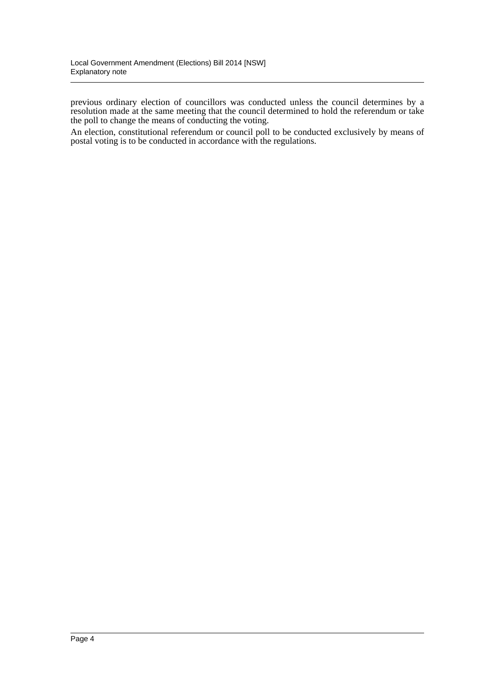previous ordinary election of councillors was conducted unless the council determines by a resolution made at the same meeting that the council determined to hold the referendum or take the poll to change the means of conducting the voting.

An election, constitutional referendum or council poll to be conducted exclusively by means of postal voting is to be conducted in accordance with the regulations.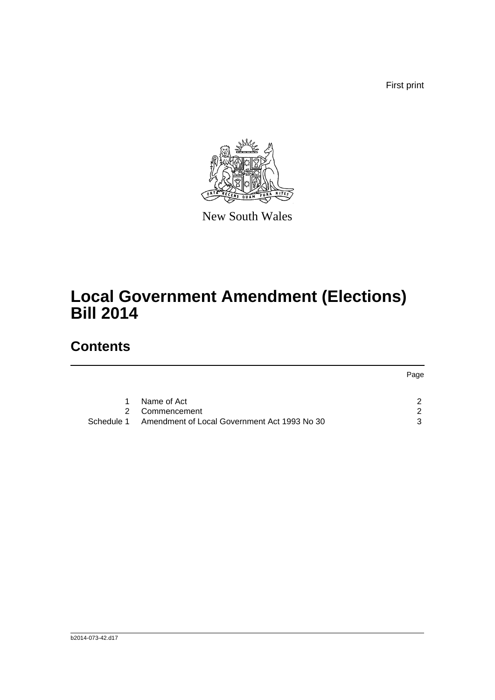First print



New South Wales

# **Local Government Amendment (Elections) Bill 2014**

# **Contents**

|            |                                              | Page |
|------------|----------------------------------------------|------|
|            | Name of Act                                  | ົ    |
| 2          | Commencement                                 | - 2  |
| Schedule 1 | Amendment of Local Government Act 1993 No 30 | વ    |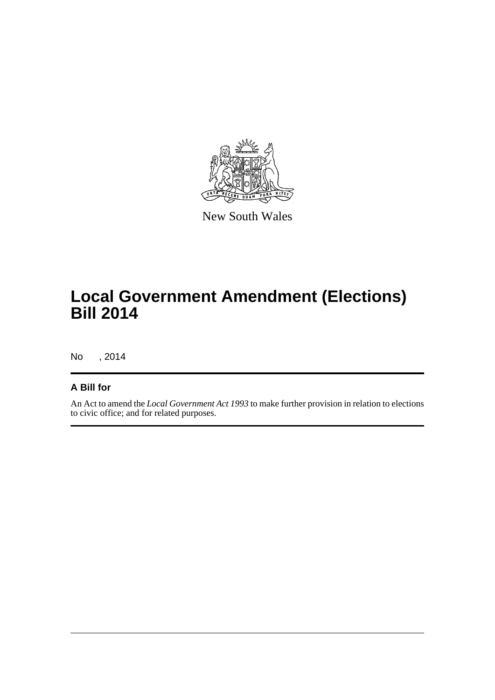

New South Wales

# **Local Government Amendment (Elections) Bill 2014**

No , 2014

### **A Bill for**

An Act to amend the *Local Government Act 1993* to make further provision in relation to elections to civic office; and for related purposes.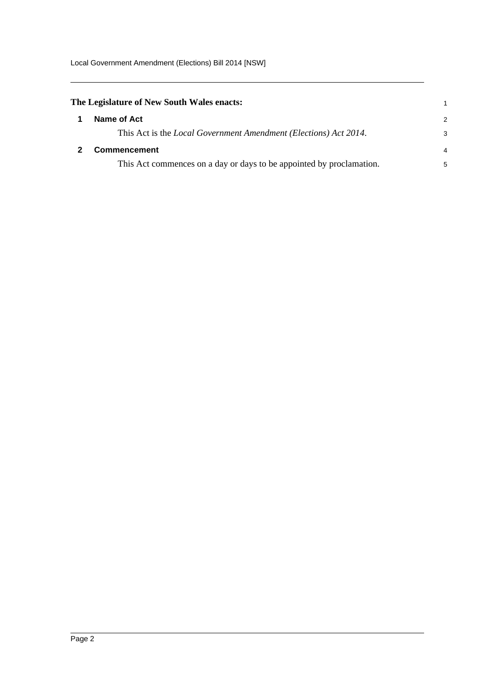<span id="page-6-1"></span><span id="page-6-0"></span>

| The Legislature of New South Wales enacts:                               |               |
|--------------------------------------------------------------------------|---------------|
| Name of Act                                                              | $\mathcal{P}$ |
| This Act is the <i>Local Government Amendment (Elections) Act 2014</i> . | 3             |
| <b>Commencement</b>                                                      |               |
| This Act commences on a day or days to be appointed by proclamation.     | 5             |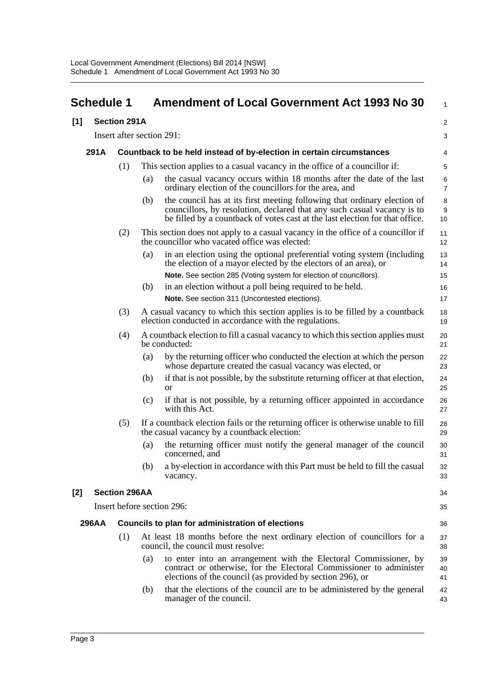<span id="page-7-0"></span>

|     | <b>Schedule 1</b> |                           |                                                                            | <b>Amendment of Local Government Act 1993 No 30</b>                                                                                                                                                                                 | 1                   |  |  |  |
|-----|-------------------|---------------------------|----------------------------------------------------------------------------|-------------------------------------------------------------------------------------------------------------------------------------------------------------------------------------------------------------------------------------|---------------------|--|--|--|
| [1] |                   | <b>Section 291A</b>       |                                                                            |                                                                                                                                                                                                                                     | $\overline{a}$      |  |  |  |
|     |                   | Insert after section 291: |                                                                            |                                                                                                                                                                                                                                     | 3                   |  |  |  |
|     | 291A              |                           | Countback to be held instead of by-election in certain circumstances       |                                                                                                                                                                                                                                     |                     |  |  |  |
|     |                   | (1)                       | This section applies to a casual vacancy in the office of a councillor if: |                                                                                                                                                                                                                                     |                     |  |  |  |
|     |                   |                           | (a)                                                                        | the casual vacancy occurs within 18 months after the date of the last<br>ordinary election of the councillors for the area, and                                                                                                     | 6<br>$\overline{7}$ |  |  |  |
|     |                   |                           | (b)                                                                        | the council has at its first meeting following that ordinary election of<br>councillors, by resolution, declared that any such casual vacancy is to<br>be filled by a countback of votes cast at the last election for that office. | 8<br>9<br>10        |  |  |  |
|     |                   | (2)                       |                                                                            | This section does not apply to a casual vacancy in the office of a councillor if<br>the councillor who vacated office was elected:                                                                                                  | 11<br>12            |  |  |  |
|     |                   |                           | (a)                                                                        | in an election using the optional preferential voting system (including<br>the election of a mayor elected by the electors of an area), or                                                                                          | 13<br>14            |  |  |  |
|     |                   |                           |                                                                            | Note. See section 285 (Voting system for election of councillors).                                                                                                                                                                  | 15                  |  |  |  |
|     |                   |                           | (b)                                                                        | in an election without a poll being required to be held.                                                                                                                                                                            | 16                  |  |  |  |
|     |                   |                           |                                                                            | Note. See section 311 (Uncontested elections).                                                                                                                                                                                      | 17                  |  |  |  |
|     |                   | (3)                       |                                                                            | A casual vacancy to which this section applies is to be filled by a countback<br>election conducted in accordance with the regulations.                                                                                             | 18<br>19            |  |  |  |
|     |                   | (4)                       |                                                                            | A countback election to fill a casual vacancy to which this section applies must<br>be conducted:                                                                                                                                   | 20<br>21            |  |  |  |
|     |                   |                           | (a)                                                                        | by the returning officer who conducted the election at which the person<br>whose departure created the casual vacancy was elected, or                                                                                               | 22<br>23            |  |  |  |
|     |                   |                           | (b)                                                                        | if that is not possible, by the substitute returning officer at that election,<br><sub>or</sub>                                                                                                                                     | 24<br>25            |  |  |  |
|     |                   |                           | (c)                                                                        | if that is not possible, by a returning officer appointed in accordance<br>with this Act.                                                                                                                                           | 26<br>27            |  |  |  |
|     |                   | (5)                       |                                                                            | If a countback election fails or the returning officer is otherwise unable to fill<br>the casual vacancy by a countback election:                                                                                                   | 28<br>29            |  |  |  |
|     |                   |                           | (a)                                                                        | the returning officer must notify the general manager of the council<br>concerned, and                                                                                                                                              | 30<br>31            |  |  |  |
|     |                   |                           |                                                                            | (b) a by-election in accordance with this Part must be held to fill the casual<br>vacancy.                                                                                                                                          | 32<br>33            |  |  |  |
| [2] |                   | <b>Section 296AA</b>      |                                                                            |                                                                                                                                                                                                                                     | 34                  |  |  |  |
|     |                   |                           | Insert before section 296:                                                 | 35                                                                                                                                                                                                                                  |                     |  |  |  |
|     | <b>296AA</b>      |                           |                                                                            | Councils to plan for administration of elections                                                                                                                                                                                    | 36                  |  |  |  |
|     |                   | (1)                       |                                                                            | At least 18 months before the next ordinary election of councillors for a<br>council, the council must resolve:                                                                                                                     | 37<br>38            |  |  |  |
|     |                   |                           | (a)                                                                        | to enter into an arrangement with the Electoral Commissioner, by<br>contract or otherwise, for the Electoral Commissioner to administer<br>elections of the council (as provided by section 296), or                                | 39<br>40<br>41      |  |  |  |
|     |                   |                           | (b)                                                                        | that the elections of the council are to be administered by the general<br>manager of the council.                                                                                                                                  | 42<br>43            |  |  |  |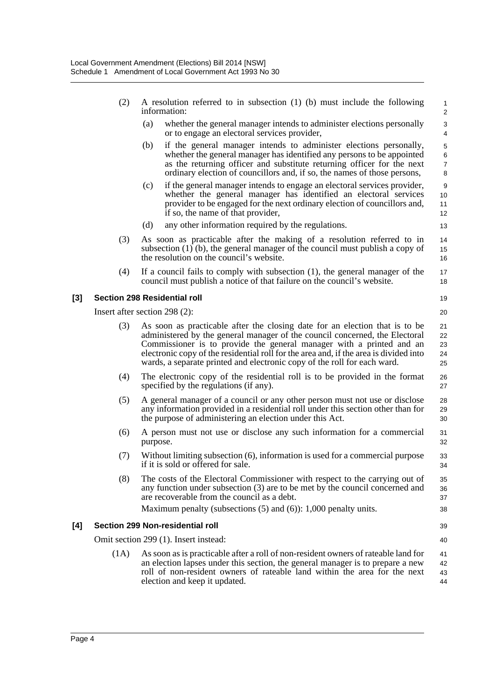- (2) A resolution referred to in subsection (1) (b) must include the following information:
	- (a) whether the general manager intends to administer elections personally or to engage an electoral services provider,
	- (b) if the general manager intends to administer elections personally, whether the general manager has identified any persons to be appointed as the returning officer and substitute returning officer for the next ordinary election of councillors and, if so, the names of those persons,
	- (c) if the general manager intends to engage an electoral services provider, whether the general manager has identified an electoral services provider to be engaged for the next ordinary election of councillors and, if so, the name of that provider,
	- (d) any other information required by the regulations.
- (3) As soon as practicable after the making of a resolution referred to in subsection (1) (b), the general manager of the council must publish a copy of the resolution on the council's website.
- (4) If a council fails to comply with subsection (1), the general manager of the council must publish a notice of that failure on the council's website.

#### **[3] Section 298 Residential roll**

Insert after section 298 (2):

- (3) As soon as practicable after the closing date for an election that is to be administered by the general manager of the council concerned, the Electoral Commissioner is to provide the general manager with a printed and an electronic copy of the residential roll for the area and, if the area is divided into wards, a separate printed and electronic copy of the roll for each ward. 21 22 23 24 25
- (4) The electronic copy of the residential roll is to be provided in the format specified by the regulations (if any). 26 27
- (5) A general manager of a council or any other person must not use or disclose any information provided in a residential roll under this section other than for the purpose of administering an election under this Act. 28 29 30
- (6) A person must not use or disclose any such information for a commercial purpose. 31 32
- (7) Without limiting subsection (6), information is used for a commercial purpose if it is sold or offered for sale.
- (8) The costs of the Electoral Commissioner with respect to the carrying out of any function under subsection (3) are to be met by the council concerned and are recoverable from the council as a debt. Maximum penalty (subsections  $(5)$  and  $(6)$ ): 1,000 penalty units. 35 36 37 38

#### **[4] Section 299 Non-residential roll**

Omit section 299 (1). Insert instead:

(1A) As soon as is practicable after a roll of non-resident owners of rateable land for an election lapses under this section, the general manager is to prepare a new roll of non-resident owners of rateable land within the area for the next election and keep it updated. 41 42 43 44

19 20

33 34

39  $40$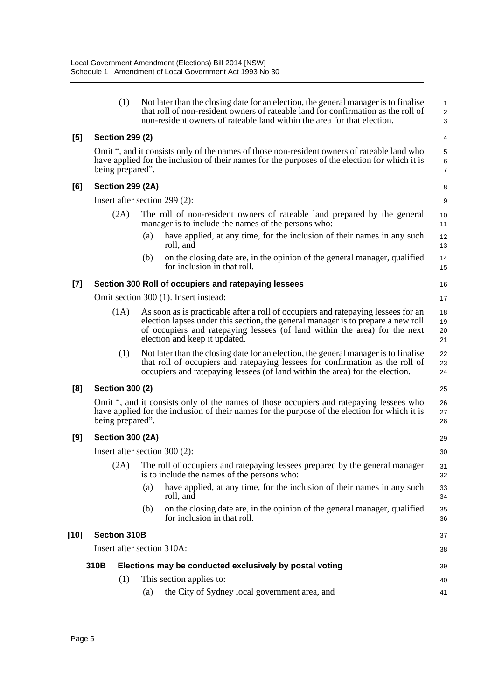|        | (1)                                                                                                                                                                                                               |                                                                                                                                                                                                              | Not later than the closing date for an election, the general manager is to finalise<br>that roll of non-resident owners of rateable land for confirmation as the roll of<br>non-resident owners of rateable land within the area for that election.                                  | 1<br>$\overline{\mathbf{c}}$<br>3 |  |  |
|--------|-------------------------------------------------------------------------------------------------------------------------------------------------------------------------------------------------------------------|--------------------------------------------------------------------------------------------------------------------------------------------------------------------------------------------------------------|--------------------------------------------------------------------------------------------------------------------------------------------------------------------------------------------------------------------------------------------------------------------------------------|-----------------------------------|--|--|
| [5]    | <b>Section 299 (2)</b>                                                                                                                                                                                            |                                                                                                                                                                                                              |                                                                                                                                                                                                                                                                                      | 4                                 |  |  |
|        | Omit ", and it consists only of the names of those non-resident owners of rateable land who<br>have applied for the inclusion of their names for the purposes of the election for which it is<br>being prepared". |                                                                                                                                                                                                              |                                                                                                                                                                                                                                                                                      |                                   |  |  |
| [6]    | <b>Section 299 (2A)</b>                                                                                                                                                                                           |                                                                                                                                                                                                              |                                                                                                                                                                                                                                                                                      | 8                                 |  |  |
|        | Insert after section 299 (2):                                                                                                                                                                                     |                                                                                                                                                                                                              |                                                                                                                                                                                                                                                                                      | 9                                 |  |  |
|        | (2A)                                                                                                                                                                                                              |                                                                                                                                                                                                              | The roll of non-resident owners of rateable land prepared by the general<br>manager is to include the names of the persons who:                                                                                                                                                      | 10<br>11                          |  |  |
|        |                                                                                                                                                                                                                   | (a)                                                                                                                                                                                                          | have applied, at any time, for the inclusion of their names in any such<br>roll, and                                                                                                                                                                                                 | 12<br>13                          |  |  |
|        |                                                                                                                                                                                                                   | (b)                                                                                                                                                                                                          | on the closing date are, in the opinion of the general manager, qualified<br>for inclusion in that roll.                                                                                                                                                                             | 14<br>15                          |  |  |
| [7]    |                                                                                                                                                                                                                   |                                                                                                                                                                                                              | Section 300 Roll of occupiers and ratepaying lessees                                                                                                                                                                                                                                 | 16                                |  |  |
|        |                                                                                                                                                                                                                   |                                                                                                                                                                                                              | Omit section 300 (1). Insert instead:                                                                                                                                                                                                                                                | 17                                |  |  |
|        | (1A)                                                                                                                                                                                                              |                                                                                                                                                                                                              | As soon as is practicable after a roll of occupiers and ratepaying lessees for an<br>election lapses under this section, the general manager is to prepare a new roll<br>of occupiers and ratepaying lessees (of land within the area) for the next<br>election and keep it updated. | 18<br>19<br>20<br>21              |  |  |
|        | (1)                                                                                                                                                                                                               |                                                                                                                                                                                                              | Not later than the closing date for an election, the general manager is to finalise<br>that roll of occupiers and ratepaying lessees for confirmation as the roll of<br>occupiers and ratepaying lessees (of land within the area) for the election.                                 | 22<br>23<br>24                    |  |  |
| [8]    | <b>Section 300 (2)</b>                                                                                                                                                                                            |                                                                                                                                                                                                              |                                                                                                                                                                                                                                                                                      | 25                                |  |  |
|        |                                                                                                                                                                                                                   | Omit ", and it consists only of the names of those occupiers and ratepaying lessees who<br>have applied for the inclusion of their names for the purpose of the election for which it is<br>being prepared". |                                                                                                                                                                                                                                                                                      |                                   |  |  |
| [9]    | <b>Section 300 (2A)</b>                                                                                                                                                                                           |                                                                                                                                                                                                              |                                                                                                                                                                                                                                                                                      | 29                                |  |  |
|        |                                                                                                                                                                                                                   | Insert after section $300(2)$ :                                                                                                                                                                              |                                                                                                                                                                                                                                                                                      |                                   |  |  |
|        | (2A)                                                                                                                                                                                                              |                                                                                                                                                                                                              | The roll of occupiers and ratepaying lessees prepared by the general manager<br>is to include the names of the persons who:                                                                                                                                                          | 31<br>32                          |  |  |
|        |                                                                                                                                                                                                                   | (a)                                                                                                                                                                                                          | have applied, at any time, for the inclusion of their names in any such<br>roll, and                                                                                                                                                                                                 | 33<br>34                          |  |  |
|        |                                                                                                                                                                                                                   | (b)                                                                                                                                                                                                          | on the closing date are, in the opinion of the general manager, qualified<br>for inclusion in that roll.                                                                                                                                                                             | 35<br>36                          |  |  |
| $[10]$ | <b>Section 310B</b>                                                                                                                                                                                               |                                                                                                                                                                                                              |                                                                                                                                                                                                                                                                                      | 37                                |  |  |
|        | Insert after section 310A:                                                                                                                                                                                        |                                                                                                                                                                                                              |                                                                                                                                                                                                                                                                                      |                                   |  |  |
|        | 310B                                                                                                                                                                                                              |                                                                                                                                                                                                              | Elections may be conducted exclusively by postal voting                                                                                                                                                                                                                              | 39                                |  |  |
|        | (1)                                                                                                                                                                                                               |                                                                                                                                                                                                              | This section applies to:                                                                                                                                                                                                                                                             | 40                                |  |  |
|        |                                                                                                                                                                                                                   | (a)                                                                                                                                                                                                          | the City of Sydney local government area, and                                                                                                                                                                                                                                        | 41                                |  |  |